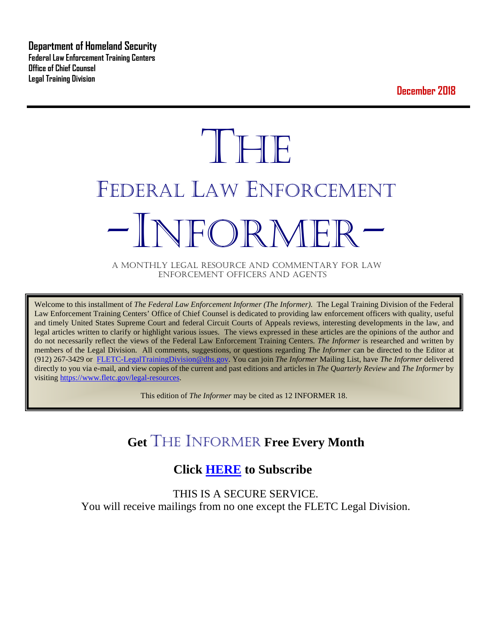**Department of Homeland Security Federal Law Enforcement Training Centers Office of Chief Counsel Legal Training Division** 

**December 2018**

# **THE** FEDERAL LAW ENFORCEMENT -INFORMER- A MONTHLY LEGAL RESOURCE AND COMMENTARY FOR LAW

ENFORCEMENT OFFICERS AND AGENTS

Welcome to this installment of *The Federal Law Enforcement Informer (The Informer).* The Legal Training Division of the Federal Law Enforcement Training Centers' Office of Chief Counsel is dedicated to providing law enforcement officers with quality, useful and timely United States Supreme Court and federal Circuit Courts of Appeals reviews, interesting developments in the law, and legal articles written to clarify or highlight various issues. The views expressed in these articles are the opinions of the author and do not necessarily reflect the views of the Federal Law Enforcement Training Centers. *The Informer* is researched and written by members of the Legal Division. All comments, suggestions, or questions regarding *The Informer* can be directed to the Editor at (912) 267-3429 or [FLETC-LegalTrainingDivision@dhs.gov.](mailto:FLETC-LegalTrainingDivision@dhs.gov) You can join *The Informer* Mailing List, have *The Informer* delivered directly to you via e-mail, and view copies of the current and past editions and articles in *The Quarterly Review* and *The Informer* by visiting [https://www.fletc.gov/legal-resources.](https://www.fletc.gov/legal-resources) 

This edition of *The Informer* may be cited as 12 INFORMER 18.

## **Get** THE INFORMER **Free Every Month**

## **Click [HERE](https://app.co-sender.com/opt-in/list/7b007eab-378b-4542-807f-44d6de94cb7e) to Subscribe**

THIS IS A SECURE SERVICE. You will receive mailings from no one except the FLETC Legal Division.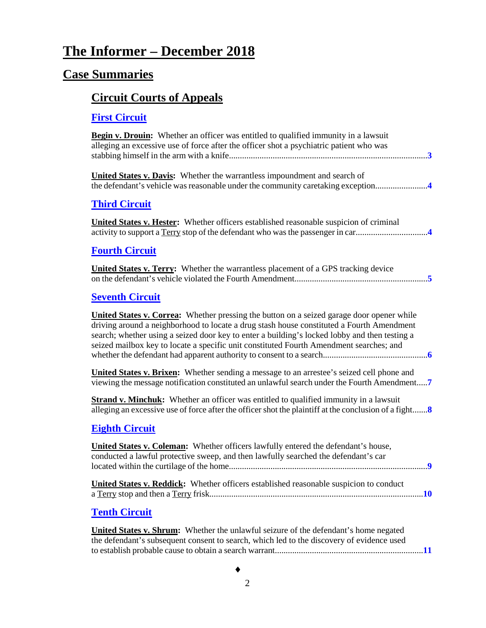## **The Informer – December 2018**

## **Case Summaries**

## **[Circuit Courts of Appeals](#page-2-0)**

### **[First Circuit](#page-2-1)**

| <b>Begin v. Drouin:</b> Whether an officer was entitled to qualified immunity in a lawsuit<br>alleging an excessive use of force after the officer shot a psychiatric patient who was                                                                                                                                                                                                     |
|-------------------------------------------------------------------------------------------------------------------------------------------------------------------------------------------------------------------------------------------------------------------------------------------------------------------------------------------------------------------------------------------|
| <b>United States v. Davis:</b> Whether the warrantless impoundment and search of<br>the defendant's vehicle was reasonable under the community caretaking exception4                                                                                                                                                                                                                      |
| <b>Third Circuit</b>                                                                                                                                                                                                                                                                                                                                                                      |
| <b>United States v. Hester:</b> Whether officers established reasonable suspicion of criminal                                                                                                                                                                                                                                                                                             |
| <b>Fourth Circuit</b>                                                                                                                                                                                                                                                                                                                                                                     |
| <b>United States v. Terry:</b> Whether the warrantless placement of a GPS tracking device                                                                                                                                                                                                                                                                                                 |
| <b>Seventh Circuit</b>                                                                                                                                                                                                                                                                                                                                                                    |
| <b>United States v. Correa:</b> Whether pressing the button on a seized garage door opener while<br>driving around a neighborhood to locate a drug stash house constituted a Fourth Amendment<br>search; whether using a seized door key to enter a building's locked lobby and then testing a<br>seized mailbox key to locate a specific unit constituted Fourth Amendment searches; and |
| <b>United States v. Brixen:</b> Whether sending a message to an arrestee's seized cell phone and<br>viewing the message notification constituted an unlawful search under the Fourth Amendment7                                                                                                                                                                                           |
| <b>Strand v. Minchuk:</b> Whether an officer was entitled to qualified immunity in a lawsuit<br>alleging an excessive use of force after the officer shot the plaintiff at the conclusion of a fight                                                                                                                                                                                      |
| <b>Eighth Circuit</b>                                                                                                                                                                                                                                                                                                                                                                     |
| <b>United States v. Coleman:</b> Whether officers lawfully entered the defendant's house,<br>conducted a lawful protective sweep, and then lawfully searched the defendant's car                                                                                                                                                                                                          |
| United States v. Reddick: Whether officers established reasonable suspicion to conduct                                                                                                                                                                                                                                                                                                    |
| <b>Tenth Circuit</b>                                                                                                                                                                                                                                                                                                                                                                      |
| United States v. Shrum: Whether the unlawful seizure of the defendant's home negated<br>the defendant's subsequent consent to search, which led to the discovery of evidence used                                                                                                                                                                                                         |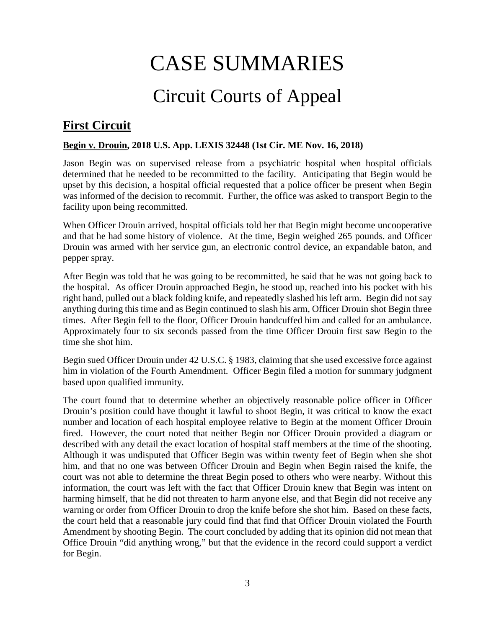# CASE SUMMARIES

# Circuit Courts of Appeal

## <span id="page-2-1"></span><span id="page-2-0"></span>**First Circuit**

#### <span id="page-2-2"></span>**Begin v. Drouin, 2018 U.S. App. LEXIS 32448 (1st Cir. ME Nov. 16, 2018)**

Jason Begin was on supervised release from a psychiatric hospital when hospital officials determined that he needed to be recommitted to the facility. Anticipating that Begin would be upset by this decision, a hospital official requested that a police officer be present when Begin was informed of the decision to recommit. Further, the office was asked to transport Begin to the facility upon being recommitted.

When Officer Drouin arrived, hospital officials told her that Begin might become uncooperative and that he had some history of violence. At the time, Begin weighed 265 pounds. and Officer Drouin was armed with her service gun, an electronic control device, an expandable baton, and pepper spray.

After Begin was told that he was going to be recommitted, he said that he was not going back to the hospital. As officer Drouin approached Begin, he stood up, reached into his pocket with his right hand, pulled out a black folding knife, and repeatedly slashed his left arm. Begin did not say anything during this time and as Begin continued to slash his arm, Officer Drouin shot Begin three times. After Begin fell to the floor, Officer Drouin handcuffed him and called for an ambulance. Approximately four to six seconds passed from the time Officer Drouin first saw Begin to the time she shot him.

Begin sued Officer Drouin under 42 U.S.C. § 1983, claiming that she used excessive force against him in violation of the Fourth Amendment. Officer Begin filed a motion for summary judgment based upon qualified immunity.

The court found that to determine whether an objectively reasonable police officer in Officer Drouin's position could have thought it lawful to shoot Begin, it was critical to know the exact number and location of each hospital employee relative to Begin at the moment Officer Drouin fired. However, the court noted that neither Begin nor Officer Drouin provided a diagram or described with any detail the exact location of hospital staff members at the time of the shooting. Although it was undisputed that Officer Begin was within twenty feet of Begin when she shot him, and that no one was between Officer Drouin and Begin when Begin raised the knife, the court was not able to determine the threat Begin posed to others who were nearby. Without this information, the court was left with the fact that Officer Drouin knew that Begin was intent on harming himself, that he did not threaten to harm anyone else, and that Begin did not receive any warning or order from Officer Drouin to drop the knife before she shot him. Based on these facts, the court held that a reasonable jury could find that find that Officer Drouin violated the Fourth Amendment by shooting Begin. The court concluded by adding that its opinion did not mean that Office Drouin "did anything wrong," but that the evidence in the record could support a verdict for Begin.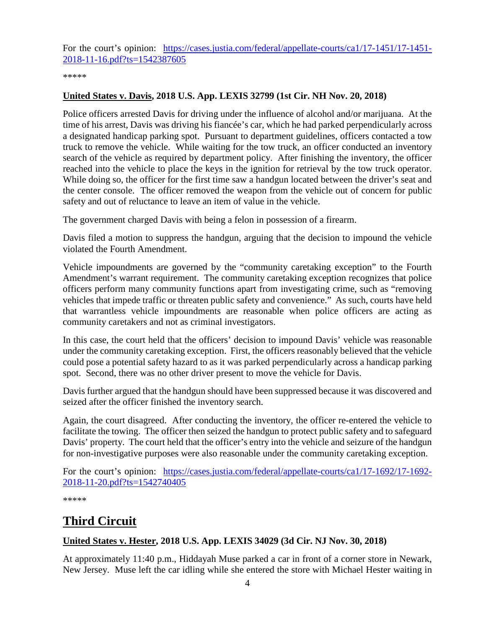For the court's opinion: [https://cases.justia.com/federal/appellate-courts/ca1/17-1451/17-1451-](https://cases.justia.com/federal/appellate-courts/ca1/17-1451/17-1451-2018-11-16.pdf?ts=1542387605) [2018-11-16.pdf?ts=1542387605](https://cases.justia.com/federal/appellate-courts/ca1/17-1451/17-1451-2018-11-16.pdf?ts=1542387605)

\*\*\*\*\*

#### <span id="page-3-0"></span>**United States v. Davis, 2018 U.S. App. LEXIS 32799 (1st Cir. NH Nov. 20, 2018)**

Police officers arrested Davis for driving under the influence of alcohol and/or marijuana. At the time of his arrest, Davis was driving his fiancée's car, which he had parked perpendicularly across a designated handicap parking spot. Pursuant to department guidelines, officers contacted a tow truck to remove the vehicle. While waiting for the tow truck, an officer conducted an inventory search of the vehicle as required by department policy. After finishing the inventory, the officer reached into the vehicle to place the keys in the ignition for retrieval by the tow truck operator. While doing so, the officer for the first time saw a handgun located between the driver's seat and the center console. The officer removed the weapon from the vehicle out of concern for public safety and out of reluctance to leave an item of value in the vehicle.

The government charged Davis with being a felon in possession of a firearm.

Davis filed a motion to suppress the handgun, arguing that the decision to impound the vehicle violated the Fourth Amendment.

Vehicle impoundments are governed by the "community caretaking exception" to the Fourth Amendment's warrant requirement. The community caretaking exception recognizes that police officers perform many community functions apart from investigating crime, such as "removing vehicles that impede traffic or threaten public safety and convenience." As such, courts have held that warrantless vehicle impoundments are reasonable when police officers are acting as community caretakers and not as criminal investigators.

In this case, the court held that the officers' decision to impound Davis' vehicle was reasonable under the community caretaking exception. First, the officers reasonably believed that the vehicle could pose a potential safety hazard to as it was parked perpendicularly across a handicap parking spot. Second, there was no other driver present to move the vehicle for Davis.

Davis further argued that the handgun should have been suppressed because it was discovered and seized after the officer finished the inventory search.

Again, the court disagreed. After conducting the inventory, the officer re-entered the vehicle to facilitate the towing. The officer then seized the handgun to protect public safety and to safeguard Davis' property. The court held that the officer's entry into the vehicle and seizure of the handgun for non-investigative purposes were also reasonable under the community caretaking exception.

For the court's opinion: [https://cases.justia.com/federal/appellate-courts/ca1/17-1692/17-1692-](https://cases.justia.com/federal/appellate-courts/ca1/17-1692/17-1692-2018-11-20.pdf?ts=1542740405) [2018-11-20.pdf?ts=1542740405](https://cases.justia.com/federal/appellate-courts/ca1/17-1692/17-1692-2018-11-20.pdf?ts=1542740405)

\*\*\*\*\*

## <span id="page-3-1"></span>**Third Circuit**

#### <span id="page-3-2"></span>**United States v. Hester, 2018 U.S. App. LEXIS 34029 (3d Cir. NJ Nov. 30, 2018)**

At approximately 11:40 p.m., Hiddayah Muse parked a car in front of a corner store in Newark, New Jersey. Muse left the car idling while she entered the store with Michael Hester waiting in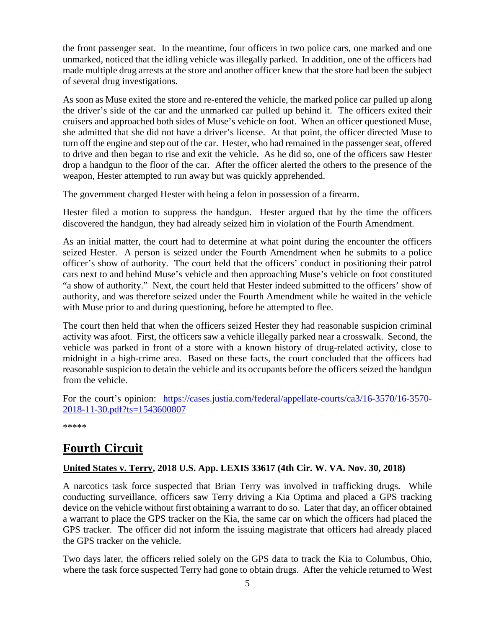the front passenger seat. In the meantime, four officers in two police cars, one marked and one unmarked, noticed that the idling vehicle was illegally parked. In addition, one of the officers had made multiple drug arrests at the store and another officer knew that the store had been the subject of several drug investigations.

As soon as Muse exited the store and re-entered the vehicle, the marked police car pulled up along the driver's side of the car and the unmarked car pulled up behind it. The officers exited their cruisers and approached both sides of Muse's vehicle on foot. When an officer questioned Muse, she admitted that she did not have a driver's license. At that point, the officer directed Muse to turn off the engine and step out of the car. Hester, who had remained in the passenger seat, offered to drive and then began to rise and exit the vehicle. As he did so, one of the officers saw Hester drop a handgun to the floor of the car. After the officer alerted the others to the presence of the weapon, Hester attempted to run away but was quickly apprehended.

The government charged Hester with being a felon in possession of a firearm.

Hester filed a motion to suppress the handgun. Hester argued that by the time the officers discovered the handgun, they had already seized him in violation of the Fourth Amendment.

As an initial matter, the court had to determine at what point during the encounter the officers seized Hester. A person is seized under the Fourth Amendment when he submits to a police officer's show of authority. The court held that the officers' conduct in positioning their patrol cars next to and behind Muse's vehicle and then approaching Muse's vehicle on foot constituted "a show of authority." Next, the court held that Hester indeed submitted to the officers' show of authority, and was therefore seized under the Fourth Amendment while he waited in the vehicle with Muse prior to and during questioning, before he attempted to flee.

The court then held that when the officers seized Hester they had reasonable suspicion criminal activity was afoot. First, the officers saw a vehicle illegally parked near a crosswalk. Second, the vehicle was parked in front of a store with a known history of drug-related activity, close to midnight in a high-crime area. Based on these facts, the court concluded that the officers had reasonable suspicion to detain the vehicle and its occupants before the officers seized the handgun from the vehicle.

For the court's opinion: [https://cases.justia.com/federal/appellate-courts/ca3/16-3570/16-3570-](https://cases.justia.com/federal/appellate-courts/ca3/16-3570/16-3570-2018-11-30.pdf?ts=1543600807) [2018-11-30.pdf?ts=1543600807](https://cases.justia.com/federal/appellate-courts/ca3/16-3570/16-3570-2018-11-30.pdf?ts=1543600807)

\*\*\*\*\*

## <span id="page-4-0"></span>**Fourth Circuit**

#### <span id="page-4-1"></span>**United States v. Terry, 2018 U.S. App. LEXIS 33617 (4th Cir. W. VA. Nov. 30, 2018)**

A narcotics task force suspected that Brian Terry was involved in trafficking drugs. While conducting surveillance, officers saw Terry driving a Kia Optima and placed a GPS tracking device on the vehicle without first obtaining a warrant to do so. Later that day, an officer obtained a warrant to place the GPS tracker on the Kia, the same car on which the officers had placed the GPS tracker. The officer did not inform the issuing magistrate that officers had already placed the GPS tracker on the vehicle.

Two days later, the officers relied solely on the GPS data to track the Kia to Columbus, Ohio, where the task force suspected Terry had gone to obtain drugs. After the vehicle returned to West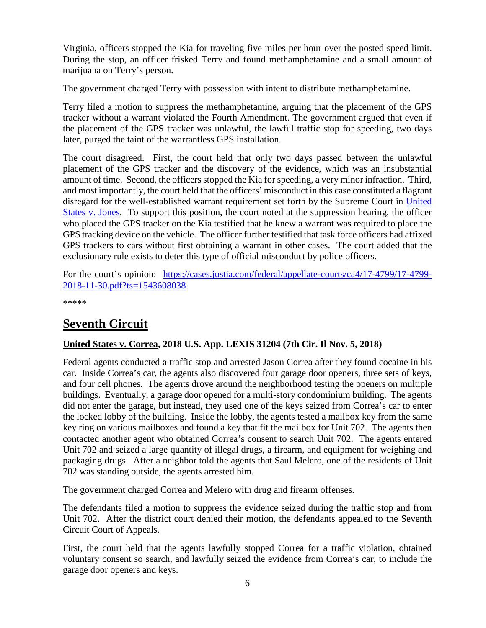Virginia, officers stopped the Kia for traveling five miles per hour over the posted speed limit. During the stop, an officer frisked Terry and found methamphetamine and a small amount of marijuana on Terry's person.

The government charged Terry with possession with intent to distribute methamphetamine.

Terry filed a motion to suppress the methamphetamine, arguing that the placement of the GPS tracker without a warrant violated the Fourth Amendment. The government argued that even if the placement of the GPS tracker was unlawful, the lawful traffic stop for speeding, two days later, purged the taint of the warrantless GPS installation.

The court disagreed. First, the court held that only two days passed between the unlawful placement of the GPS tracker and the discovery of the evidence, which was an insubstantial amount of time. Second, the officers stopped the Kia for speeding, a very minor infraction. Third, and most importantly, the court held that the officers' misconduct in this case constituted a flagrant disregard for the well-established warrant requirement set forth by the Supreme Court in [United](https://supreme.justia.com/cases/federal/us/565/400/)  [States v. Jones.](https://supreme.justia.com/cases/federal/us/565/400/) To support this position, the court noted at the suppression hearing, the officer who placed the GPS tracker on the Kia testified that he knew a warrant was required to place the GPS tracking device on the vehicle. The officer further testified that task force officers had affixed GPS trackers to cars without first obtaining a warrant in other cases. The court added that the exclusionary rule exists to deter this type of official misconduct by police officers.

For the court's opinion: [https://cases.justia.com/federal/appellate-courts/ca4/17-4799/17-4799-](https://cases.justia.com/federal/appellate-courts/ca4/17-4799/17-4799-2018-11-30.pdf?ts=1543608038) [2018-11-30.pdf?ts=1543608038](https://cases.justia.com/federal/appellate-courts/ca4/17-4799/17-4799-2018-11-30.pdf?ts=1543608038)

\*\*\*\*\*

## <span id="page-5-0"></span>**Seventh Circuit**

#### <span id="page-5-1"></span>**United States v. Correa, 2018 U.S. App. LEXIS 31204 (7th Cir. Il Nov. 5, 2018)**

Federal agents conducted a traffic stop and arrested Jason Correa after they found cocaine in his car. Inside Correa's car, the agents also discovered four garage door openers, three sets of keys, and four cell phones. The agents drove around the neighborhood testing the openers on multiple buildings. Eventually, a garage door opened for a multi-story condominium building. The agents did not enter the garage, but instead, they used one of the keys seized from Correa's car to enter the locked lobby of the building. Inside the lobby, the agents tested a mailbox key from the same key ring on various mailboxes and found a key that fit the mailbox for Unit 702. The agents then contacted another agent who obtained Correa's consent to search Unit 702. The agents entered Unit 702 and seized a large quantity of illegal drugs, a firearm, and equipment for weighing and packaging drugs. After a neighbor told the agents that Saul Melero, one of the residents of Unit 702 was standing outside, the agents arrested him.

The government charged Correa and Melero with drug and firearm offenses.

The defendants filed a motion to suppress the evidence seized during the traffic stop and from Unit 702. After the district court denied their motion, the defendants appealed to the Seventh Circuit Court of Appeals.

First, the court held that the agents lawfully stopped Correa for a traffic violation, obtained voluntary consent so search, and lawfully seized the evidence from Correa's car, to include the garage door openers and keys.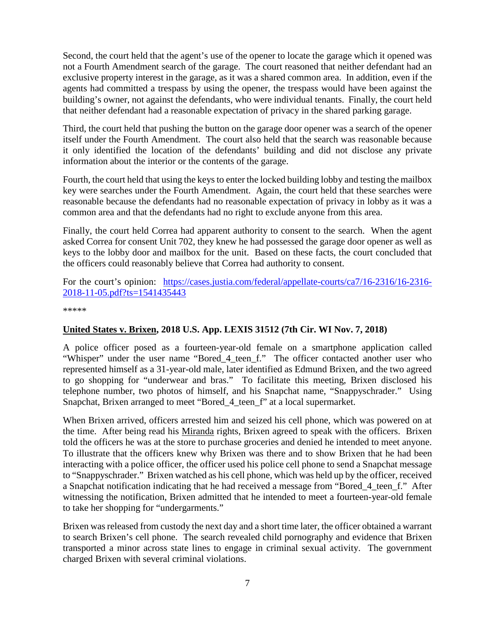Second, the court held that the agent's use of the opener to locate the garage which it opened was not a Fourth Amendment search of the garage. The court reasoned that neither defendant had an exclusive property interest in the garage, as it was a shared common area. In addition, even if the agents had committed a trespass by using the opener, the trespass would have been against the building's owner, not against the defendants, who were individual tenants. Finally, the court held that neither defendant had a reasonable expectation of privacy in the shared parking garage.

Third, the court held that pushing the button on the garage door opener was a search of the opener itself under the Fourth Amendment. The court also held that the search was reasonable because it only identified the location of the defendants' building and did not disclose any private information about the interior or the contents of the garage.

Fourth, the court held that using the keys to enter the locked building lobby and testing the mailbox key were searches under the Fourth Amendment. Again, the court held that these searches were reasonable because the defendants had no reasonable expectation of privacy in lobby as it was a common area and that the defendants had no right to exclude anyone from this area.

Finally, the court held Correa had apparent authority to consent to the search. When the agent asked Correa for consent Unit 702, they knew he had possessed the garage door opener as well as keys to the lobby door and mailbox for the unit. Based on these facts, the court concluded that the officers could reasonably believe that Correa had authority to consent.

#### For the court's opinion: [https://cases.justia.com/federal/appellate-courts/ca7/16-2316/16-2316-](https://cases.justia.com/federal/appellate-courts/ca7/16-2316/16-2316-2018-11-05.pdf?ts=1541435443) [2018-11-05.pdf?ts=1541435443](https://cases.justia.com/federal/appellate-courts/ca7/16-2316/16-2316-2018-11-05.pdf?ts=1541435443)

\*\*\*\*\*

#### <span id="page-6-0"></span>**United States v. Brixen, 2018 U.S. App. LEXIS 31512 (7th Cir. WI Nov. 7, 2018)**

A police officer posed as a fourteen-year-old female on a smartphone application called "Whisper" under the user name "Bored 4 teen f." The officer contacted another user who represented himself as a 31-year-old male, later identified as Edmund Brixen, and the two agreed to go shopping for "underwear and bras." To facilitate this meeting, Brixen disclosed his telephone number, two photos of himself, and his Snapchat name, "Snappyschrader." Using Snapchat, Brixen arranged to meet "Bored\_4\_teen\_f" at a local supermarket.

When Brixen arrived, officers arrested him and seized his cell phone, which was powered on at the time. After being read his Miranda rights, Brixen agreed to speak with the officers. Brixen told the officers he was at the store to purchase groceries and denied he intended to meet anyone. To illustrate that the officers knew why Brixen was there and to show Brixen that he had been interacting with a police officer, the officer used his police cell phone to send a Snapchat message to "Snappyschrader." Brixen watched as his cell phone, which was held up by the officer, received a Snapchat notification indicating that he had received a message from "Bored\_4\_teen\_f." After witnessing the notification, Brixen admitted that he intended to meet a fourteen-year-old female to take her shopping for "undergarments."

Brixen was released from custody the next day and a short time later, the officer obtained a warrant to search Brixen's cell phone. The search revealed child pornography and evidence that Brixen transported a minor across state lines to engage in criminal sexual activity. The government charged Brixen with several criminal violations.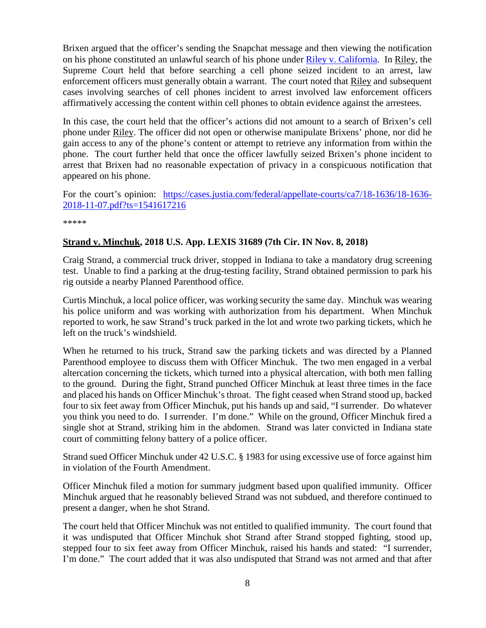Brixen argued that the officer's sending the Snapchat message and then viewing the notification on his phone constituted an unlawful search of his phone under [Riley v. California.](https://www.supremecourt.gov/opinions/13pdf/13-132_8l9c.pdf) In Riley, the Supreme Court held that before searching a cell phone seized incident to an arrest, law enforcement officers must generally obtain a warrant. The court noted that Riley and subsequent cases involving searches of cell phones incident to arrest involved law enforcement officers affirmatively accessing the content within cell phones to obtain evidence against the arrestees.

In this case, the court held that the officer's actions did not amount to a search of Brixen's cell phone under Riley. The officer did not open or otherwise manipulate Brixens' phone, nor did he gain access to any of the phone's content or attempt to retrieve any information from within the phone. The court further held that once the officer lawfully seized Brixen's phone incident to arrest that Brixen had no reasonable expectation of privacy in a conspicuous notification that appeared on his phone.

For the court's opinion: [https://cases.justia.com/federal/appellate-courts/ca7/18-1636/18-1636-](https://cases.justia.com/federal/appellate-courts/ca7/18-1636/18-1636-2018-11-07.pdf?ts=1541617216) [2018-11-07.pdf?ts=1541617216](https://cases.justia.com/federal/appellate-courts/ca7/18-1636/18-1636-2018-11-07.pdf?ts=1541617216)

\*\*\*\*\*

#### <span id="page-7-0"></span>**Strand v. Minchuk, 2018 U.S. App. LEXIS 31689 (7th Cir. IN Nov. 8, 2018)**

Craig Strand, a commercial truck driver, stopped in Indiana to take a mandatory drug screening test. Unable to find a parking at the drug-testing facility, Strand obtained permission to park his rig outside a nearby Planned Parenthood office.

Curtis Minchuk, a local police officer, was working security the same day. Minchuk was wearing his police uniform and was working with authorization from his department. When Minchuk reported to work, he saw Strand's truck parked in the lot and wrote two parking tickets, which he left on the truck's windshield.

When he returned to his truck, Strand saw the parking tickets and was directed by a Planned Parenthood employee to discuss them with Officer Minchuk. The two men engaged in a verbal altercation concerning the tickets, which turned into a physical altercation, with both men falling to the ground. During the fight, Strand punched Officer Minchuk at least three times in the face and placed his hands on Officer Minchuk's throat. The fight ceased when Strand stood up, backed four to six feet away from Officer Minchuk, put his hands up and said, "I surrender. Do whatever you think you need to do. I surrender. I'm done." While on the ground, Officer Minchuk fired a single shot at Strand, striking him in the abdomen. Strand was later convicted in Indiana state court of committing felony battery of a police officer.

Strand sued Officer Minchuk under 42 U.S.C. § 1983 for using excessive use of force against him in violation of the Fourth Amendment.

Officer Minchuk filed a motion for summary judgment based upon qualified immunity. Officer Minchuk argued that he reasonably believed Strand was not subdued, and therefore continued to present a danger, when he shot Strand.

The court held that Officer Minchuk was not entitled to qualified immunity. The court found that it was undisputed that Officer Minchuk shot Strand after Strand stopped fighting, stood up, stepped four to six feet away from Officer Minchuk, raised his hands and stated: "I surrender, I'm done." The court added that it was also undisputed that Strand was not armed and that after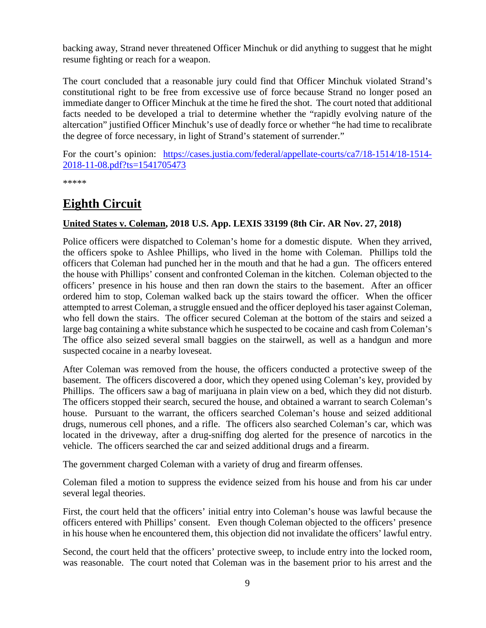backing away, Strand never threatened Officer Minchuk or did anything to suggest that he might resume fighting or reach for a weapon.

The court concluded that a reasonable jury could find that Officer Minchuk violated Strand's constitutional right to be free from excessive use of force because Strand no longer posed an immediate danger to Officer Minchuk at the time he fired the shot. The court noted that additional facts needed to be developed a trial to determine whether the "rapidly evolving nature of the altercation" justified Officer Minchuk's use of deadly force or whether "he had time to recalibrate the degree of force necessary, in light of Strand's statement of surrender."

For the court's opinion: [https://cases.justia.com/federal/appellate-courts/ca7/18-1514/18-1514-](https://cases.justia.com/federal/appellate-courts/ca7/18-1514/18-1514-2018-11-08.pdf?ts=1541705473) [2018-11-08.pdf?ts=1541705473](https://cases.justia.com/federal/appellate-courts/ca7/18-1514/18-1514-2018-11-08.pdf?ts=1541705473)

\*\*\*\*\*

## <span id="page-8-0"></span>**Eighth Circuit**

#### <span id="page-8-1"></span>**United States v. Coleman, 2018 U.S. App. LEXIS 33199 (8th Cir. AR Nov. 27, 2018)**

Police officers were dispatched to Coleman's home for a domestic dispute. When they arrived, the officers spoke to Ashlee Phillips, who lived in the home with Coleman. Phillips told the officers that Coleman had punched her in the mouth and that he had a gun. The officers entered the house with Phillips' consent and confronted Coleman in the kitchen. Coleman objected to the officers' presence in his house and then ran down the stairs to the basement. After an officer ordered him to stop, Coleman walked back up the stairs toward the officer. When the officer attempted to arrest Coleman, a struggle ensued and the officer deployed his taser against Coleman, who fell down the stairs. The officer secured Coleman at the bottom of the stairs and seized a large bag containing a white substance which he suspected to be cocaine and cash from Coleman's The office also seized several small baggies on the stairwell, as well as a handgun and more suspected cocaine in a nearby loveseat.

After Coleman was removed from the house, the officers conducted a protective sweep of the basement. The officers discovered a door, which they opened using Coleman's key, provided by Phillips. The officers saw a bag of marijuana in plain view on a bed, which they did not disturb. The officers stopped their search, secured the house, and obtained a warrant to search Coleman's house. Pursuant to the warrant, the officers searched Coleman's house and seized additional drugs, numerous cell phones, and a rifle. The officers also searched Coleman's car, which was located in the driveway, after a drug-sniffing dog alerted for the presence of narcotics in the vehicle. The officers searched the car and seized additional drugs and a firearm.

The government charged Coleman with a variety of drug and firearm offenses.

Coleman filed a motion to suppress the evidence seized from his house and from his car under several legal theories.

First, the court held that the officers' initial entry into Coleman's house was lawful because the officers entered with Phillips' consent. Even though Coleman objected to the officers' presence in his house when he encountered them, this objection did not invalidate the officers' lawful entry.

Second, the court held that the officers' protective sweep, to include entry into the locked room, was reasonable. The court noted that Coleman was in the basement prior to his arrest and the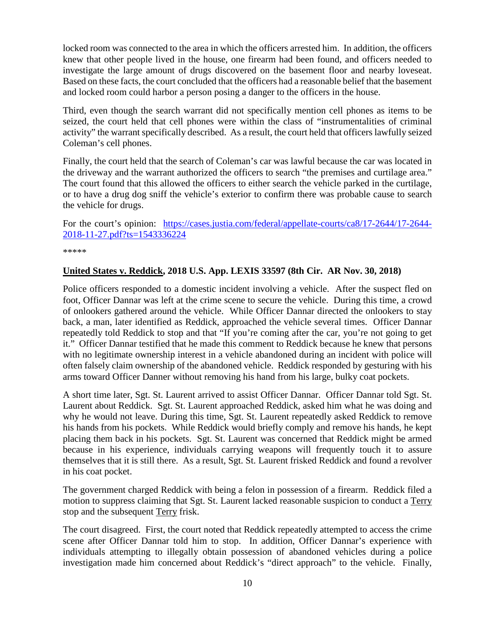locked room was connected to the area in which the officers arrested him. In addition, the officers knew that other people lived in the house, one firearm had been found, and officers needed to investigate the large amount of drugs discovered on the basement floor and nearby loveseat. Based on these facts, the court concluded that the officers had a reasonable belief that the basement and locked room could harbor a person posing a danger to the officers in the house.

Third, even though the search warrant did not specifically mention cell phones as items to be seized, the court held that cell phones were within the class of "instrumentalities of criminal activity" the warrant specifically described. As a result, the court held that officers lawfully seized Coleman's cell phones.

Finally, the court held that the search of Coleman's car was lawful because the car was located in the driveway and the warrant authorized the officers to search "the premises and curtilage area." The court found that this allowed the officers to either search the vehicle parked in the curtilage, or to have a drug dog sniff the vehicle's exterior to confirm there was probable cause to search the vehicle for drugs.

For the court's opinion: [https://cases.justia.com/federal/appellate-courts/ca8/17-2644/17-2644-](https://cases.justia.com/federal/appellate-courts/ca8/17-2644/17-2644-2018-11-27.pdf?ts=1543336224) [2018-11-27.pdf?ts=1543336224](https://cases.justia.com/federal/appellate-courts/ca8/17-2644/17-2644-2018-11-27.pdf?ts=1543336224)

\*\*\*\*\*

#### <span id="page-9-0"></span>**United States v. Reddick, 2018 U.S. App. LEXIS 33597 (8th Cir. AR Nov. 30, 2018)**

Police officers responded to a domestic incident involving a vehicle. After the suspect fled on foot, Officer Dannar was left at the crime scene to secure the vehicle. During this time, a crowd of onlookers gathered around the vehicle. While Officer Dannar directed the onlookers to stay back, a man, later identified as Reddick, approached the vehicle several times. Officer Dannar repeatedly told Reddick to stop and that "If you're coming after the car, you're not going to get it." Officer Dannar testified that he made this comment to Reddick because he knew that persons with no legitimate ownership interest in a vehicle abandoned during an incident with police will often falsely claim ownership of the abandoned vehicle. Reddick responded by gesturing with his arms toward Officer Danner without removing his hand from his large, bulky coat pockets.

A short time later, Sgt. St. Laurent arrived to assist Officer Dannar. Officer Dannar told Sgt. St. Laurent about Reddick. Sgt. St. Laurent approached Reddick, asked him what he was doing and why he would not leave. During this time, Sgt. St. Laurent repeatedly asked Reddick to remove his hands from his pockets. While Reddick would briefly comply and remove his hands, he kept placing them back in his pockets. Sgt. St. Laurent was concerned that Reddick might be armed because in his experience, individuals carrying weapons will frequently touch it to assure themselves that it is still there. As a result, Sgt. St. Laurent frisked Reddick and found a revolver in his coat pocket.

The government charged Reddick with being a felon in possession of a firearm. Reddick filed a motion to suppress claiming that Sgt. St. Laurent lacked reasonable suspicion to conduct a Terry stop and the subsequent Terry frisk.

The court disagreed. First, the court noted that Reddick repeatedly attempted to access the crime scene after Officer Dannar told him to stop. In addition, Officer Dannar's experience with individuals attempting to illegally obtain possession of abandoned vehicles during a police investigation made him concerned about Reddick's "direct approach" to the vehicle. Finally,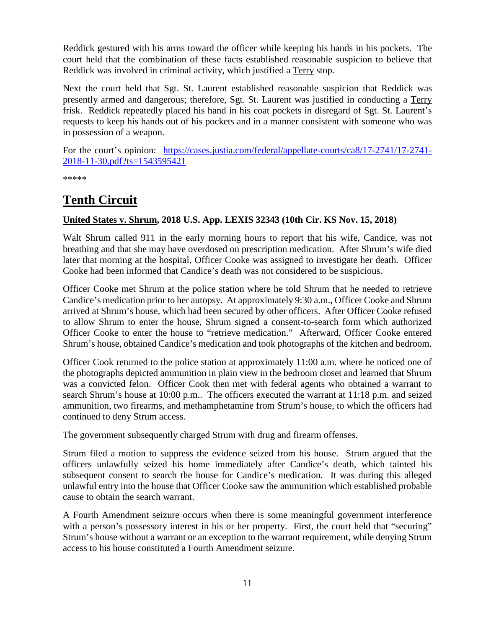Reddick gestured with his arms toward the officer while keeping his hands in his pockets. The court held that the combination of these facts established reasonable suspicion to believe that Reddick was involved in criminal activity, which justified a Terry stop.

Next the court held that Sgt. St. Laurent established reasonable suspicion that Reddick was presently armed and dangerous; therefore, Sgt. St. Laurent was justified in conducting a Terry frisk. Reddick repeatedly placed his hand in his coat pockets in disregard of Sgt. St. Laurent's requests to keep his hands out of his pockets and in a manner consistent with someone who was in possession of a weapon.

For the court's opinion: [https://cases.justia.com/federal/appellate-courts/ca8/17-2741/17-2741-](https://cases.justia.com/federal/appellate-courts/ca8/17-2741/17-2741-2018-11-30.pdf?ts=1543595421) [2018-11-30.pdf?ts=1543595421](https://cases.justia.com/federal/appellate-courts/ca8/17-2741/17-2741-2018-11-30.pdf?ts=1543595421)

\*\*\*\*\*

## <span id="page-10-0"></span>**Tenth Circuit**

#### <span id="page-10-1"></span>**United States v. Shrum, 2018 U.S. App. LEXIS 32343 (10th Cir. KS Nov. 15, 2018)**

Walt Shrum called 911 in the early morning hours to report that his wife, Candice, was not breathing and that she may have overdosed on prescription medication. After Shrum's wife died later that morning at the hospital, Officer Cooke was assigned to investigate her death. Officer Cooke had been informed that Candice's death was not considered to be suspicious.

Officer Cooke met Shrum at the police station where he told Shrum that he needed to retrieve Candice's medication prior to her autopsy. At approximately 9:30 a.m., Officer Cooke and Shrum arrived at Shrum's house, which had been secured by other officers. After Officer Cooke refused to allow Shrum to enter the house, Shrum signed a consent-to-search form which authorized Officer Cooke to enter the house to "retrieve medication." Afterward, Officer Cooke entered Shrum's house, obtained Candice's medication and took photographs of the kitchen and bedroom.

Officer Cook returned to the police station at approximately 11:00 a.m. where he noticed one of the photographs depicted ammunition in plain view in the bedroom closet and learned that Shrum was a convicted felon. Officer Cook then met with federal agents who obtained a warrant to search Shrum's house at 10:00 p.m.. The officers executed the warrant at 11:18 p.m. and seized ammunition, two firearms, and methamphetamine from Strum's house, to which the officers had continued to deny Strum access.

The government subsequently charged Strum with drug and firearm offenses.

Strum filed a motion to suppress the evidence seized from his house. Strum argued that the officers unlawfully seized his home immediately after Candice's death, which tainted his subsequent consent to search the house for Candice's medication. It was during this alleged unlawful entry into the house that Officer Cooke saw the ammunition which established probable cause to obtain the search warrant.

A Fourth Amendment seizure occurs when there is some meaningful government interference with a person's possessory interest in his or her property. First, the court held that "securing" Strum's house without a warrant or an exception to the warrant requirement, while denying Strum access to his house constituted a Fourth Amendment seizure.